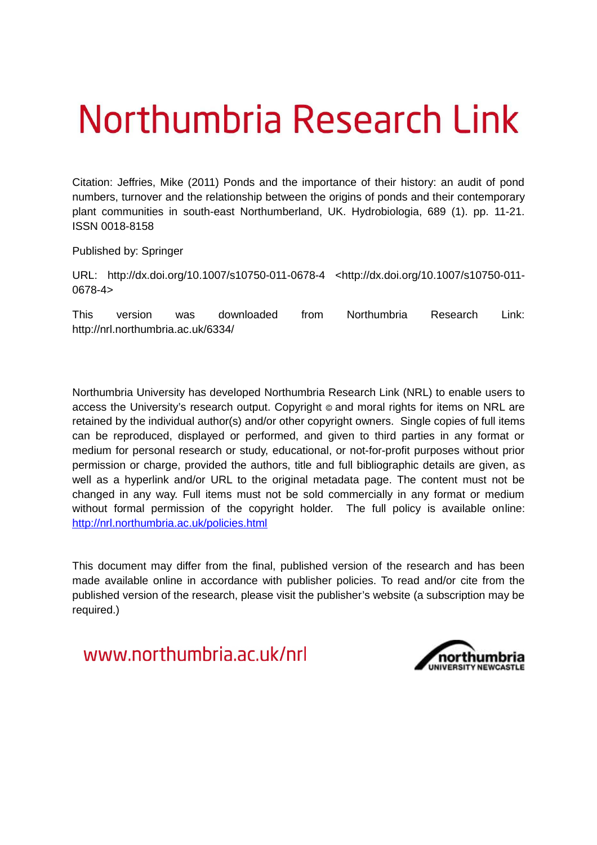# Northumbria Research Link

Citation: Jeffries, Mike (2011) Ponds and the importance of their history: an audit of pond numbers, turnover and the relationship between the origins of ponds and their contemporary plant communities in south-east Northumberland, UK. Hydrobiologia, 689 (1). pp. 11-21. ISSN 0018-8158

Published by: Springer

URL: http://dx.doi.org/10.1007/s10750-011-0678-4 <http://dx.doi.org/10.1007/s10750-011- 0678-4>

This version was downloaded from Northumbria Research Link: http://nrl.northumbria.ac.uk/6334/

Northumbria University has developed Northumbria Research Link (NRL) to enable users to access the University's research output. Copyright  $\circ$  and moral rights for items on NRL are retained by the individual author(s) and/or other copyright owners. Single copies of full items can be reproduced, displayed or performed, and given to third parties in any format or medium for personal research or study, educational, or not-for-profit purposes without prior permission or charge, provided the authors, title and full bibliographic details are given, as well as a hyperlink and/or URL to the original metadata page. The content must not be changed in any way. Full items must not be sold commercially in any format or medium without formal permission of the copyright holder. The full policy is available online: <http://nrl.northumbria.ac.uk/policies.html>

This document may differ from the final, published version of the research and has been made available online in accordance with publisher policies. To read and/or cite from the published version of the research, please visit the publisher's website (a subscription may be required.)

www.northumbria.ac.uk/nrl

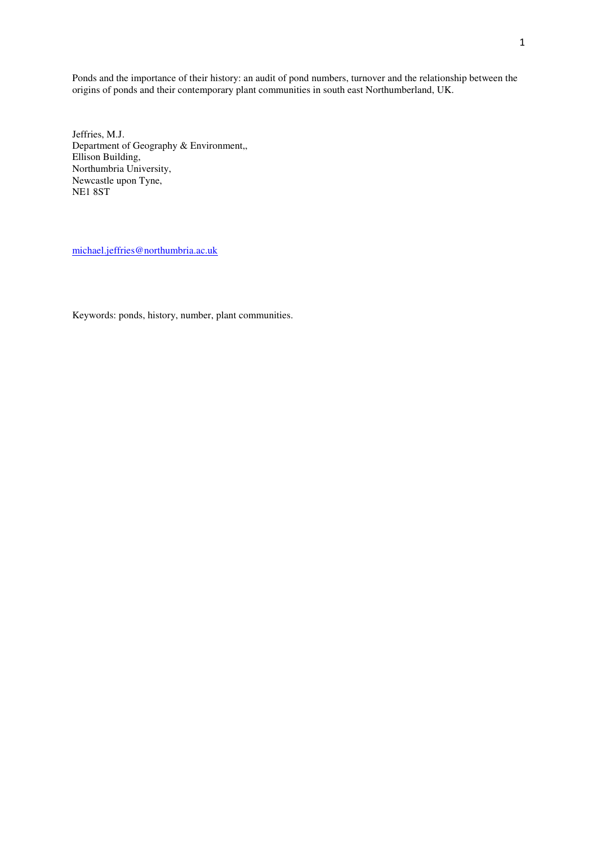Ponds and the importance of their history: an audit of pond numbers, turnover and the relationship between the origins of ponds and their contemporary plant communities in south east Northumberland, UK.

Jeffries, M.J. Department of Geography & Environment,, Ellison Building, Northumbria University, Newcastle upon Tyne, NE1 8ST

michael.jeffries@northumbria.ac.uk

Keywords: ponds, history, number, plant communities.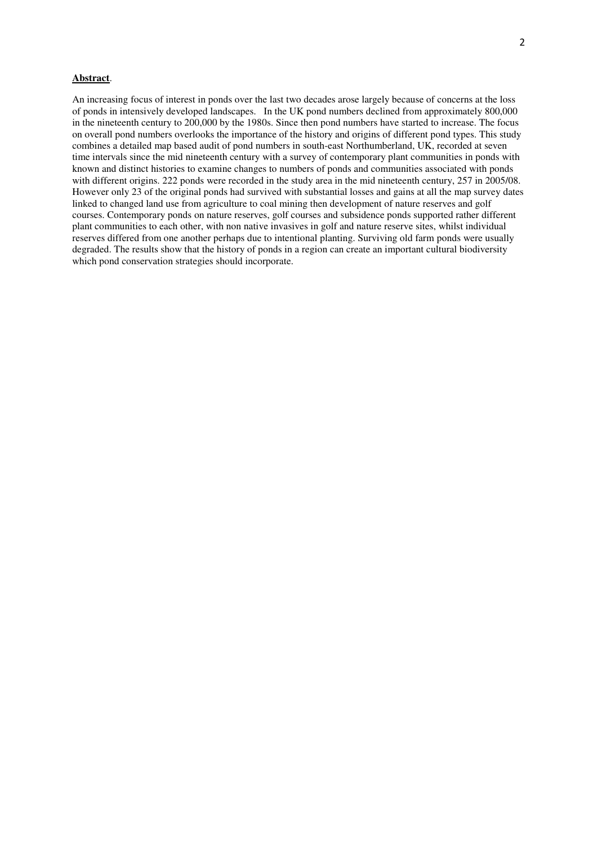# **Abstract**.

An increasing focus of interest in ponds over the last two decades arose largely because of concerns at the loss of ponds in intensively developed landscapes. In the UK pond numbers declined from approximately 800,000 in the nineteenth century to 200,000 by the 1980s. Since then pond numbers have started to increase. The focus on overall pond numbers overlooks the importance of the history and origins of different pond types. This study combines a detailed map based audit of pond numbers in south-east Northumberland, UK, recorded at seven time intervals since the mid nineteenth century with a survey of contemporary plant communities in ponds with known and distinct histories to examine changes to numbers of ponds and communities associated with ponds with different origins. 222 ponds were recorded in the study area in the mid nineteenth century, 257 in 2005/08. However only 23 of the original ponds had survived with substantial losses and gains at all the map survey dates linked to changed land use from agriculture to coal mining then development of nature reserves and golf courses. Contemporary ponds on nature reserves, golf courses and subsidence ponds supported rather different plant communities to each other, with non native invasives in golf and nature reserve sites, whilst individual reserves differed from one another perhaps due to intentional planting. Surviving old farm ponds were usually degraded. The results show that the history of ponds in a region can create an important cultural biodiversity which pond conservation strategies should incorporate.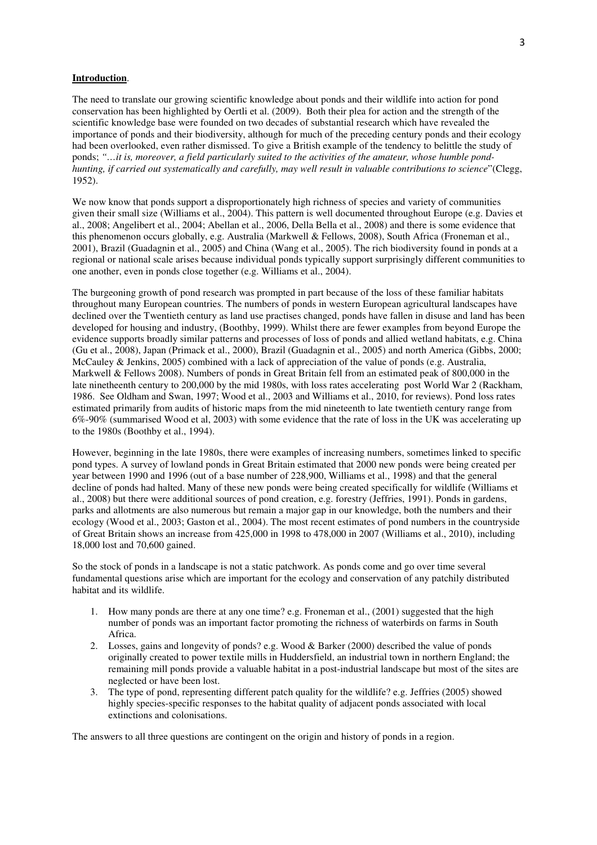## **Introduction**.

The need to translate our growing scientific knowledge about ponds and their wildlife into action for pond conservation has been highlighted by Oertli et al. (2009). Both their plea for action and the strength of the scientific knowledge base were founded on two decades of substantial research which have revealed the importance of ponds and their biodiversity, although for much of the preceding century ponds and their ecology had been overlooked, even rather dismissed. To give a British example of the tendency to belittle the study of ponds; *"…it is, moreover, a field particularly suited to the activities of the amateur, whose humble pondhunting, if carried out systematically and carefully, may well result in valuable contributions to science*"(Clegg, 1952).

We now know that ponds support a disproportionately high richness of species and variety of communities given their small size (Williams et al., 2004). This pattern is well documented throughout Europe (e.g. Davies et al., 2008; Angelibert et al., 2004; Abellan et al., 2006, Della Bella et al., 2008) and there is some evidence that this phenomenon occurs globally, e.g. Australia (Markwell & Fellows, 2008), South Africa (Froneman et al., 2001), Brazil (Guadagnin et al., 2005) and China (Wang et al., 2005). The rich biodiversity found in ponds at a regional or national scale arises because individual ponds typically support surprisingly different communities to one another, even in ponds close together (e.g. Williams et al., 2004).

The burgeoning growth of pond research was prompted in part because of the loss of these familiar habitats throughout many European countries. The numbers of ponds in western European agricultural landscapes have declined over the Twentieth century as land use practises changed, ponds have fallen in disuse and land has been developed for housing and industry, (Boothby, 1999). Whilst there are fewer examples from beyond Europe the evidence supports broadly similar patterns and processes of loss of ponds and allied wetland habitats, e.g. China (Gu et al., 2008), Japan (Primack et al., 2000), Brazil (Guadagnin et al., 2005) and north America (Gibbs, 2000; McCauley & Jenkins, 2005) combined with a lack of appreciation of the value of ponds (e.g. Australia, Markwell & Fellows 2008). Numbers of ponds in Great Britain fell from an estimated peak of 800,000 in the late ninetheenth century to 200,000 by the mid 1980s, with loss rates accelerating post World War 2 (Rackham, 1986. See Oldham and Swan, 1997; Wood et al., 2003 and Williams et al., 2010, for reviews). Pond loss rates estimated primarily from audits of historic maps from the mid nineteenth to late twentieth century range from 6%-90% (summarised Wood et al, 2003) with some evidence that the rate of loss in the UK was accelerating up to the 1980s (Boothby et al., 1994).

However, beginning in the late 1980s, there were examples of increasing numbers, sometimes linked to specific pond types. A survey of lowland ponds in Great Britain estimated that 2000 new ponds were being created per year between 1990 and 1996 (out of a base number of 228,900, Williams et al., 1998) and that the general decline of ponds had halted. Many of these new ponds were being created specifically for wildlife (Williams et al., 2008) but there were additional sources of pond creation, e.g. forestry (Jeffries, 1991). Ponds in gardens, parks and allotments are also numerous but remain a major gap in our knowledge, both the numbers and their ecology (Wood et al., 2003; Gaston et al., 2004). The most recent estimates of pond numbers in the countryside of Great Britain shows an increase from 425,000 in 1998 to 478,000 in 2007 (Williams et al., 2010), including 18,000 lost and 70,600 gained.

So the stock of ponds in a landscape is not a static patchwork. As ponds come and go over time several fundamental questions arise which are important for the ecology and conservation of any patchily distributed habitat and its wildlife.

- 1. How many ponds are there at any one time? e.g. Froneman et al., (2001) suggested that the high number of ponds was an important factor promoting the richness of waterbirds on farms in South Africa.
- 2. Losses, gains and longevity of ponds? e.g. Wood & Barker (2000) described the value of ponds originally created to power textile mills in Huddersfield, an industrial town in northern England; the remaining mill ponds provide a valuable habitat in a post-industrial landscape but most of the sites are neglected or have been lost.
- 3. The type of pond, representing different patch quality for the wildlife? e.g. Jeffries (2005) showed highly species-specific responses to the habitat quality of adjacent ponds associated with local extinctions and colonisations.

The answers to all three questions are contingent on the origin and history of ponds in a region.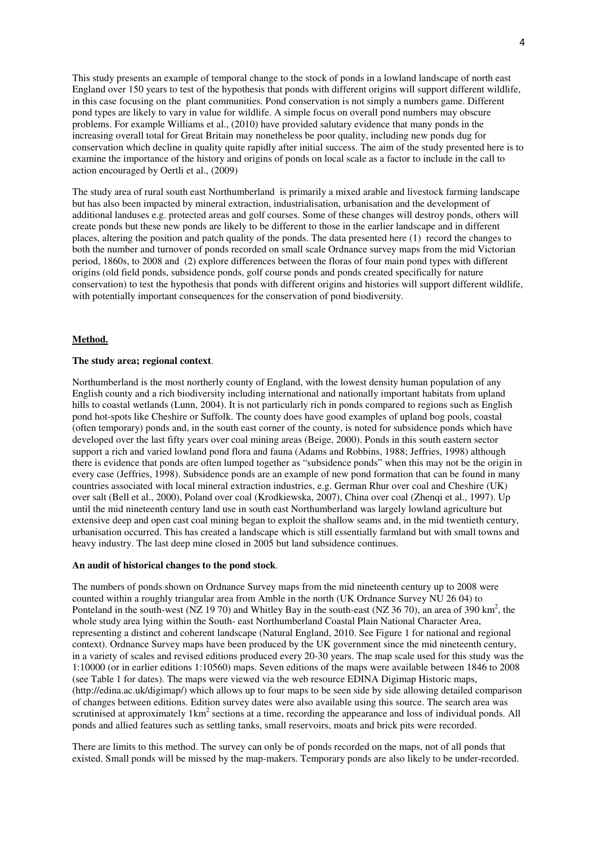This study presents an example of temporal change to the stock of ponds in a lowland landscape of north east England over 150 years to test of the hypothesis that ponds with different origins will support different wildlife, in this case focusing on the plant communities. Pond conservation is not simply a numbers game. Different pond types are likely to vary in value for wildlife. A simple focus on overall pond numbers may obscure problems. For example Williams et al., (2010) have provided salutary evidence that many ponds in the increasing overall total for Great Britain may nonetheless be poor quality, including new ponds dug for conservation which decline in quality quite rapidly after initial success. The aim of the study presented here is to examine the importance of the history and origins of ponds on local scale as a factor to include in the call to action encouraged by Oertli et al., (2009)

The study area of rural south east Northumberland is primarily a mixed arable and livestock farming landscape but has also been impacted by mineral extraction, industrialisation, urbanisation and the development of additional landuses e.g. protected areas and golf courses. Some of these changes will destroy ponds, others will create ponds but these new ponds are likely to be different to those in the earlier landscape and in different places, altering the position and patch quality of the ponds. The data presented here (1) record the changes to both the number and turnover of ponds recorded on small scale Ordnance survey maps from the mid Victorian period, 1860s, to 2008 and (2) explore differences between the floras of four main pond types with different origins (old field ponds, subsidence ponds, golf course ponds and ponds created specifically for nature conservation) to test the hypothesis that ponds with different origins and histories will support different wildlife, with potentially important consequences for the conservation of pond biodiversity.

#### **Method.**

#### **The study area; regional context**.

Northumberland is the most northerly county of England, with the lowest density human population of any English county and a rich biodiversity including international and nationally important habitats from upland hills to coastal wetlands (Lunn, 2004). It is not particularly rich in ponds compared to regions such as English pond hot-spots like Cheshire or Suffolk. The county does have good examples of upland bog pools, coastal (often temporary) ponds and, in the south east corner of the county, is noted for subsidence ponds which have developed over the last fifty years over coal mining areas (Beige, 2000). Ponds in this south eastern sector support a rich and varied lowland pond flora and fauna (Adams and Robbins, 1988; Jeffries, 1998) although there is evidence that ponds are often lumped together as "subsidence ponds" when this may not be the origin in every case (Jeffries, 1998). Subsidence ponds are an example of new pond formation that can be found in many countries associated with local mineral extraction industries, e.g. German Rhur over coal and Cheshire (UK) over salt (Bell et al., 2000), Poland over coal (Krodkiewska, 2007), China over coal (Zhenqi et al., 1997). Up until the mid nineteenth century land use in south east Northumberland was largely lowland agriculture but extensive deep and open cast coal mining began to exploit the shallow seams and, in the mid twentieth century, urbanisation occurred. This has created a landscape which is still essentially farmland but with small towns and heavy industry. The last deep mine closed in 2005 but land subsidence continues.

# **An audit of historical changes to the pond stock**.

The numbers of ponds shown on Ordnance Survey maps from the mid nineteenth century up to 2008 were counted within a roughly triangular area from Amble in the north (UK Ordnance Survey NU 26 04) to Ponteland in the south-west (NZ 19 70) and Whitley Bay in the south-east (NZ 36 70), an area of 390 km<sup>2</sup>, the whole study area lying within the South- east Northumberland Coastal Plain National Character Area, representing a distinct and coherent landscape (Natural England, 2010. See Figure 1 for national and regional context). Ordnance Survey maps have been produced by the UK government since the mid nineteenth century, in a variety of scales and revised editions produced every 20-30 years. The map scale used for this study was the 1:10000 (or in earlier editions 1:10560) maps. Seven editions of the maps were available between 1846 to 2008 (see Table 1 for dates). The maps were viewed via the web resource EDINA Digimap Historic maps, (http://edina.ac.uk/digimap/) which allows up to four maps to be seen side by side allowing detailed comparison of changes between editions. Edition survey dates were also available using this source. The search area was scrutinised at approximately  $1 \text{km}^2$  sections at a time, recording the appearance and loss of individual ponds. All ponds and allied features such as settling tanks, small reservoirs, moats and brick pits were recorded.

There are limits to this method. The survey can only be of ponds recorded on the maps, not of all ponds that existed. Small ponds will be missed by the map-makers. Temporary ponds are also likely to be under-recorded.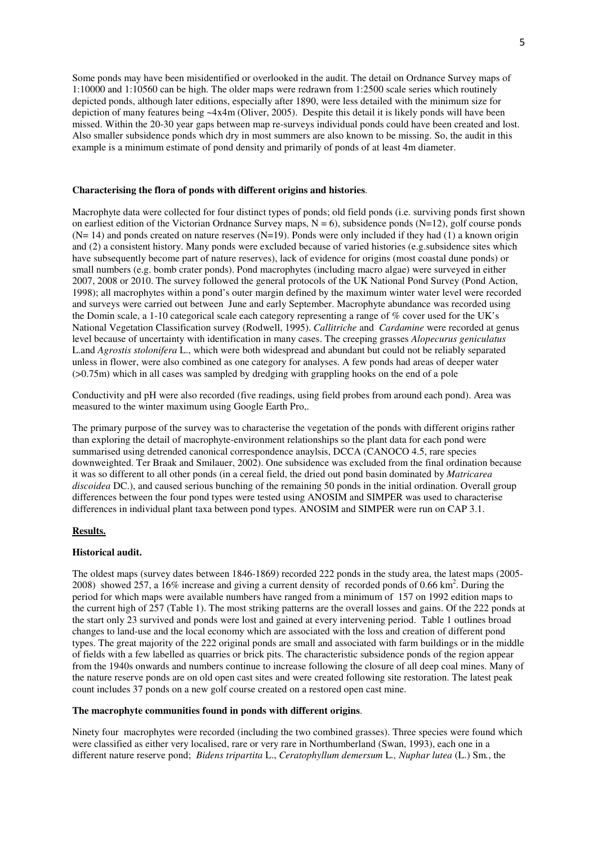Some ponds may have been misidentified or overlooked in the audit. The detail on Ordnance Survey maps of 1:10000 and 1:10560 can be high. The older maps were redrawn from 1:2500 scale series which routinely depicted ponds, although later editions, especially after 1890, were less detailed with the minimum size for depiction of many features being ~4x4m (Oliver, 2005). Despite this detail it is likely ponds will have been missed. Within the 20-30 year gaps between map re-surveys individual ponds could have been created and lost. Also smaller subsidence ponds which dry in most summers are also known to be missing. So, the audit in this example is a minimum estimate of pond density and primarily of ponds of at least 4m diameter.

## **Characterising the flora of ponds with different origins and histories**.

Macrophyte data were collected for four distinct types of ponds; old field ponds (i.e. surviving ponds first shown on earliest edition of the Victorian Ordnance Survey maps,  $N = 6$ ), subsidence ponds ( $N=12$ ), golf course ponds  $(N=14)$  and ponds created on nature reserves  $(N=19)$ . Ponds were only included if they had (1) a known origin and (2) a consistent history. Many ponds were excluded because of varied histories (e.g.subsidence sites which have subsequently become part of nature reserves), lack of evidence for origins (most coastal dune ponds) or small numbers (e.g. bomb crater ponds). Pond macrophytes (including macro algae) were surveyed in either 2007, 2008 or 2010. The survey followed the general protocols of the UK National Pond Survey (Pond Action, 1998); all macrophytes within a pond's outer margin defined by the maximum winter water level were recorded and surveys were carried out between June and early September. Macrophyte abundance was recorded using the Domin scale, a 1-10 categorical scale each category representing a range of % cover used for the UK's National Vegetation Classification survey (Rodwell, 1995). *Callitriche* and *Cardamine* were recorded at genus level because of uncertainty with identification in many cases. The creeping grasses *Alopecurus geniculatus* L.and *Agrostis stolonifera* L., which were both widespread and abundant but could not be reliably separated unless in flower, were also combined as one category for analyses. A few ponds had areas of deeper water (>0.75m) which in all cases was sampled by dredging with grappling hooks on the end of a pole

Conductivity and pH were also recorded (five readings, using field probes from around each pond). Area was measured to the winter maximum using Google Earth Pro,.

The primary purpose of the survey was to characterise the vegetation of the ponds with different origins rather than exploring the detail of macrophyte-environment relationships so the plant data for each pond were summarised using detrended canonical correspondence anaylsis, DCCA (CANOCO 4.5, rare species downweighted. Ter Braak and Smilauer, 2002). One subsidence was excluded from the final ordination because it was so different to all other ponds (in a cereal field, the dried out pond basin dominated by *Matricarea discoidea* DC.), and caused serious bunching of the remaining 50 ponds in the initial ordination. Overall group differences between the four pond types were tested using ANOSIM and SIMPER was used to characterise differences in individual plant taxa between pond types. ANOSIM and SIMPER were run on CAP 3.1.

## **Results.**

## **Historical audit.**

The oldest maps (survey dates between 1846-1869) recorded 222 ponds in the study area, the latest maps (2005- 2008) showed 257, a 16% increase and giving a current density of recorded ponds of 0.66 km<sup>2</sup>. During the period for which maps were available numbers have ranged from a minimum of 157 on 1992 edition maps to the current high of 257 (Table 1). The most striking patterns are the overall losses and gains. Of the 222 ponds at the start only 23 survived and ponds were lost and gained at every intervening period. Table 1 outlines broad changes to land-use and the local economy which are associated with the loss and creation of different pond types. The great majority of the 222 original ponds are small and associated with farm buildings or in the middle of fields with a few labelled as quarries or brick pits. The characteristic subsidence ponds of the region appear from the 1940s onwards and numbers continue to increase following the closure of all deep coal mines. Many of the nature reserve ponds are on old open cast sites and were created following site restoration. The latest peak count includes 37 ponds on a new golf course created on a restored open cast mine.

## **The macrophyte communities found in ponds with different origins**.

Ninety four macrophytes were recorded (including the two combined grasses). Three species were found which were classified as either very localised, rare or very rare in Northumberland (Swan, 1993), each one in a different nature reserve pond; *Bidens tripartita* L., *Ceratophyllum demersum* L*., Nuphar lutea* (L.) Sm*.*, the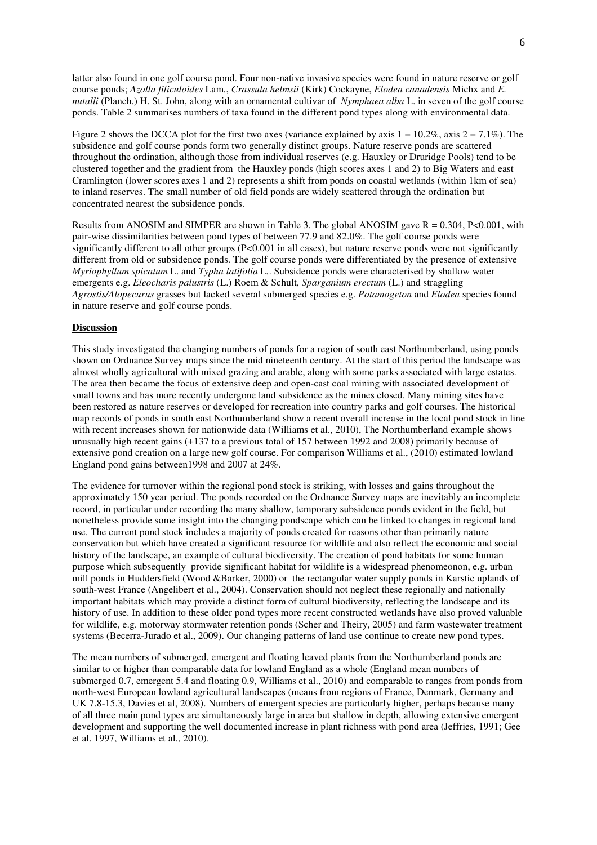latter also found in one golf course pond. Four non-native invasive species were found in nature reserve or golf course ponds; *Azolla filiculoides* Lam*.*, *Crassula helmsii* (Kirk) Cockayne, *Elodea canadensis* Michx and *E. nutalli* (Planch.) H. St. John, along with an ornamental cultivar of *Nymphaea alba* L. in seven of the golf course ponds. Table 2 summarises numbers of taxa found in the different pond types along with environmental data.

Figure 2 shows the DCCA plot for the first two axes (variance explained by axis  $1 = 10.2\%$ , axis  $2 = 7.1\%$ ). The subsidence and golf course ponds form two generally distinct groups. Nature reserve ponds are scattered throughout the ordination, although those from individual reserves (e.g. Hauxley or Druridge Pools) tend to be clustered together and the gradient from the Hauxley ponds (high scores axes 1 and 2) to Big Waters and east Cramlington (lower scores axes 1 and 2) represents a shift from ponds on coastal wetlands (within 1km of sea) to inland reserves. The small number of old field ponds are widely scattered through the ordination but concentrated nearest the subsidence ponds.

Results from ANOSIM and SIMPER are shown in Table 3. The global ANOSIM gave  $R = 0.304$ , P<0.001, with pair-wise dissimilarities between pond types of between 77.9 and 82.0%. The golf course ponds were significantly different to all other groups (P<0.001 in all cases), but nature reserve ponds were not significantly different from old or subsidence ponds. The golf course ponds were differentiated by the presence of extensive *Myriophyllum spicatum* L. and *Typha latifolia* L*.*. Subsidence ponds were characterised by shallow water emergents e.g. *Eleocharis palustris* (L.) Roem & Schult*, Sparganium erectum* (L.) and straggling *Agrostis/Alopecurus* grasses but lacked several submerged species e.g. *Potamogeton* and *Elodea* species found in nature reserve and golf course ponds.

# **Discussion**

This study investigated the changing numbers of ponds for a region of south east Northumberland, using ponds shown on Ordnance Survey maps since the mid nineteenth century. At the start of this period the landscape was almost wholly agricultural with mixed grazing and arable, along with some parks associated with large estates. The area then became the focus of extensive deep and open-cast coal mining with associated development of small towns and has more recently undergone land subsidence as the mines closed. Many mining sites have been restored as nature reserves or developed for recreation into country parks and golf courses. The historical map records of ponds in south east Northumberland show a recent overall increase in the local pond stock in line with recent increases shown for nationwide data (Williams et al., 2010), The Northumberland example shows unusually high recent gains (+137 to a previous total of 157 between 1992 and 2008) primarily because of extensive pond creation on a large new golf course. For comparison Williams et al., (2010) estimated lowland England pond gains between1998 and 2007 at 24%.

The evidence for turnover within the regional pond stock is striking, with losses and gains throughout the approximately 150 year period. The ponds recorded on the Ordnance Survey maps are inevitably an incomplete record, in particular under recording the many shallow, temporary subsidence ponds evident in the field, but nonetheless provide some insight into the changing pondscape which can be linked to changes in regional land use. The current pond stock includes a majority of ponds created for reasons other than primarily nature conservation but which have created a significant resource for wildlife and also reflect the economic and social history of the landscape, an example of cultural biodiversity. The creation of pond habitats for some human purpose which subsequently provide significant habitat for wildlife is a widespread phenomeonon, e.g. urban mill ponds in Huddersfield (Wood &Barker, 2000) or the rectangular water supply ponds in Karstic uplands of south-west France (Angelibert et al., 2004). Conservation should not neglect these regionally and nationally important habitats which may provide a distinct form of cultural biodiversity, reflecting the landscape and its history of use. In addition to these older pond types more recent constructed wetlands have also proved valuable for wildlife, e.g. motorway stormwater retention ponds (Scher and Theiry, 2005) and farm wastewater treatment systems (Becerra-Jurado et al., 2009). Our changing patterns of land use continue to create new pond types.

The mean numbers of submerged, emergent and floating leaved plants from the Northumberland ponds are similar to or higher than comparable data for lowland England as a whole (England mean numbers of submerged 0.7, emergent 5.4 and floating 0.9, Williams et al., 2010) and comparable to ranges from ponds from north-west European lowland agricultural landscapes (means from regions of France, Denmark, Germany and UK 7.8-15.3, Davies et al, 2008). Numbers of emergent species are particularly higher, perhaps because many of all three main pond types are simultaneously large in area but shallow in depth, allowing extensive emergent development and supporting the well documented increase in plant richness with pond area (Jeffries, 1991; Gee et al. 1997, Williams et al., 2010).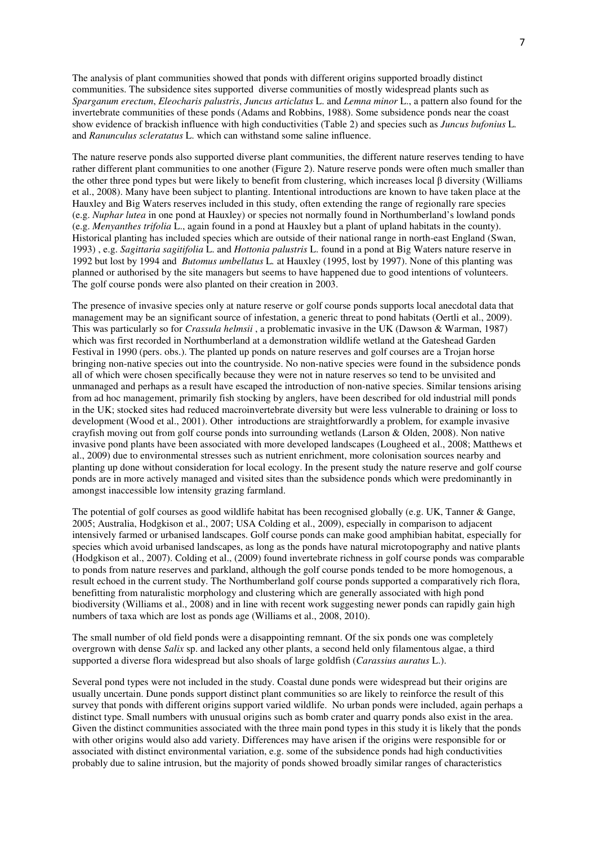The analysis of plant communities showed that ponds with different origins supported broadly distinct communities. The subsidence sites supported diverse communities of mostly widespread plants such as *Sparganum erectum*, *Eleocharis palustris*, *Juncus articlatus* L. and *Lemna minor* L., a pattern also found for the invertebrate communities of these ponds (Adams and Robbins, 1988). Some subsidence ponds near the coast show evidence of brackish influence with high conductivities (Table 2) and species such as *Juncus bufonius* L*.* and *Ranunculus scleratatus* L. which can withstand some saline influence.

The nature reserve ponds also supported diverse plant communities, the different nature reserves tending to have rather different plant communities to one another (Figure 2). Nature reserve ponds were often much smaller than the other three pond types but were likely to benefit from clustering, which increases local β diversity (Williams et al., 2008). Many have been subject to planting. Intentional introductions are known to have taken place at the Hauxley and Big Waters reserves included in this study, often extending the range of regionally rare species (e.g. *Nuphar lutea* in one pond at Hauxley) or species not normally found in Northumberland's lowland ponds (e.g. *Menyanthes trifolia* L., again found in a pond at Hauxley but a plant of upland habitats in the county). Historical planting has included species which are outside of their national range in north-east England (Swan, 1993) , e.g. *Sagittaria sagitifolia* L. and *Hottonia palustris* L. found in a pond at Big Waters nature reserve in 1992 but lost by 1994 and *Butomus umbellatus* L*.* at Hauxley (1995, lost by 1997). None of this planting was planned or authorised by the site managers but seems to have happened due to good intentions of volunteers. The golf course ponds were also planted on their creation in 2003.

The presence of invasive species only at nature reserve or golf course ponds supports local anecdotal data that management may be an significant source of infestation, a generic threat to pond habitats (Oertli et al., 2009). This was particularly so for *Crassula helmsii* , a problematic invasive in the UK (Dawson & Warman, 1987) which was first recorded in Northumberland at a demonstration wildlife wetland at the Gateshead Garden Festival in 1990 (pers. obs.). The planted up ponds on nature reserves and golf courses are a Trojan horse bringing non-native species out into the countryside. No non-native species were found in the subsidence ponds all of which were chosen specifically because they were not in nature reserves so tend to be unvisited and unmanaged and perhaps as a result have escaped the introduction of non-native species. Similar tensions arising from ad hoc management, primarily fish stocking by anglers, have been described for old industrial mill ponds in the UK; stocked sites had reduced macroinvertebrate diversity but were less vulnerable to draining or loss to development (Wood et al., 2001). Other introductions are straightforwardly a problem, for example invasive crayfish moving out from golf course ponds into surrounding wetlands (Larson & Olden, 2008). Non native invasive pond plants have been associated with more developed landscapes (Lougheed et al., 2008; Matthews et al., 2009) due to environmental stresses such as nutrient enrichment, more colonisation sources nearby and planting up done without consideration for local ecology. In the present study the nature reserve and golf course ponds are in more actively managed and visited sites than the subsidence ponds which were predominantly in amongst inaccessible low intensity grazing farmland.

The potential of golf courses as good wildlife habitat has been recognised globally (e.g. UK, Tanner & Gange, 2005; Australia, Hodgkison et al., 2007; USA Colding et al., 2009), especially in comparison to adjacent intensively farmed or urbanised landscapes. Golf course ponds can make good amphibian habitat, especially for species which avoid urbanised landscapes, as long as the ponds have natural microtopography and native plants (Hodgkison et al., 2007). Colding et al., (2009) found invertebrate richness in golf course ponds was comparable to ponds from nature reserves and parkland, although the golf course ponds tended to be more homogenous, a result echoed in the current study. The Northumberland golf course ponds supported a comparatively rich flora, benefitting from naturalistic morphology and clustering which are generally associated with high pond biodiversity (Williams et al., 2008) and in line with recent work suggesting newer ponds can rapidly gain high numbers of taxa which are lost as ponds age (Williams et al., 2008, 2010).

The small number of old field ponds were a disappointing remnant. Of the six ponds one was completely overgrown with dense *Salix* sp. and lacked any other plants, a second held only filamentous algae, a third supported a diverse flora widespread but also shoals of large goldfish (*Carassius auratus* L.).

Several pond types were not included in the study. Coastal dune ponds were widespread but their origins are usually uncertain. Dune ponds support distinct plant communities so are likely to reinforce the result of this survey that ponds with different origins support varied wildlife. No urban ponds were included, again perhaps a distinct type. Small numbers with unusual origins such as bomb crater and quarry ponds also exist in the area. Given the distinct communities associated with the three main pond types in this study it is likely that the ponds with other origins would also add variety. Differences may have arisen if the origins were responsible for or associated with distinct environmental variation, e.g. some of the subsidence ponds had high conductivities probably due to saline intrusion, but the majority of ponds showed broadly similar ranges of characteristics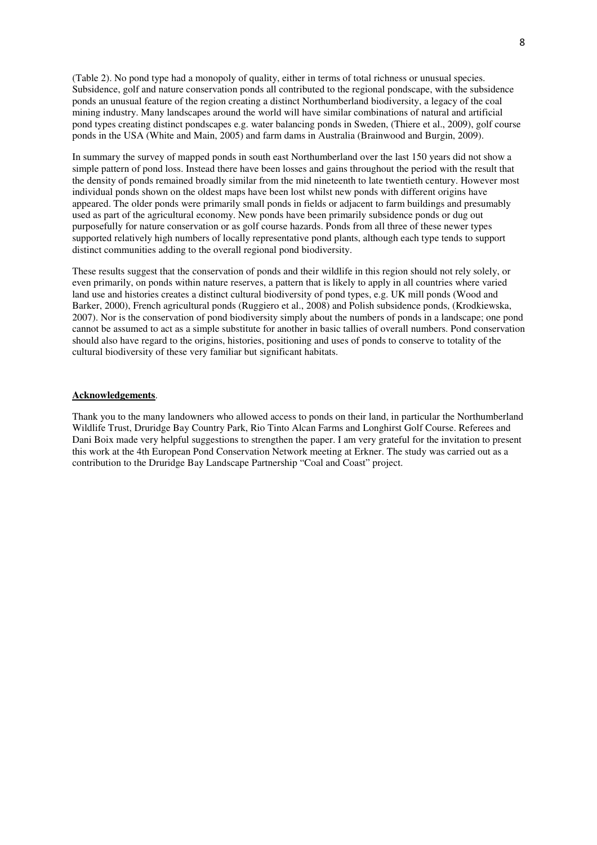(Table 2). No pond type had a monopoly of quality, either in terms of total richness or unusual species. Subsidence, golf and nature conservation ponds all contributed to the regional pondscape, with the subsidence ponds an unusual feature of the region creating a distinct Northumberland biodiversity, a legacy of the coal mining industry. Many landscapes around the world will have similar combinations of natural and artificial pond types creating distinct pondscapes e.g. water balancing ponds in Sweden, (Thiere et al., 2009), golf course ponds in the USA (White and Main, 2005) and farm dams in Australia (Brainwood and Burgin, 2009).

In summary the survey of mapped ponds in south east Northumberland over the last 150 years did not show a simple pattern of pond loss. Instead there have been losses and gains throughout the period with the result that the density of ponds remained broadly similar from the mid nineteenth to late twentieth century. However most individual ponds shown on the oldest maps have been lost whilst new ponds with different origins have appeared. The older ponds were primarily small ponds in fields or adjacent to farm buildings and presumably used as part of the agricultural economy. New ponds have been primarily subsidence ponds or dug out purposefully for nature conservation or as golf course hazards. Ponds from all three of these newer types supported relatively high numbers of locally representative pond plants, although each type tends to support distinct communities adding to the overall regional pond biodiversity.

These results suggest that the conservation of ponds and their wildlife in this region should not rely solely, or even primarily, on ponds within nature reserves, a pattern that is likely to apply in all countries where varied land use and histories creates a distinct cultural biodiversity of pond types, e.g. UK mill ponds (Wood and Barker, 2000), French agricultural ponds (Ruggiero et al., 2008) and Polish subsidence ponds, (Krodkiewska, 2007). Nor is the conservation of pond biodiversity simply about the numbers of ponds in a landscape; one pond cannot be assumed to act as a simple substitute for another in basic tallies of overall numbers. Pond conservation should also have regard to the origins, histories, positioning and uses of ponds to conserve to totality of the cultural biodiversity of these very familiar but significant habitats.

#### **Acknowledgements**.

Thank you to the many landowners who allowed access to ponds on their land, in particular the Northumberland Wildlife Trust, Druridge Bay Country Park, Rio Tinto Alcan Farms and Longhirst Golf Course. Referees and Dani Boix made very helpful suggestions to strengthen the paper. I am very grateful for the invitation to present this work at the 4th European Pond Conservation Network meeting at Erkner. The study was carried out as a contribution to the Druridge Bay Landscape Partnership "Coal and Coast" project.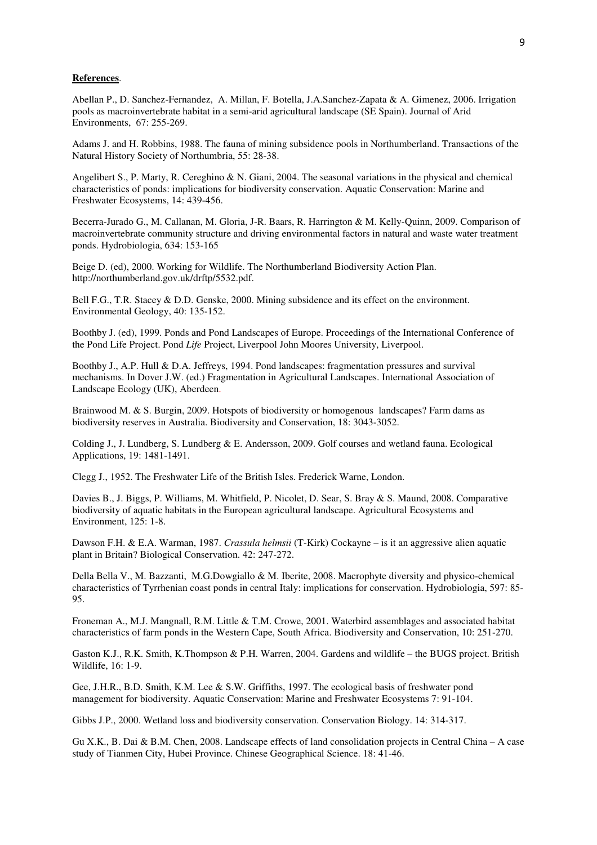## **References**.

Abellan P., D. Sanchez-Fernandez, A. Millan, F. Botella, J.A.Sanchez-Zapata & A. Gimenez, 2006. Irrigation pools as macroinvertebrate habitat in a semi-arid agricultural landscape (SE Spain). Journal of Arid Environments, 67: 255-269.

Adams J. and H. Robbins, 1988. The fauna of mining subsidence pools in Northumberland. Transactions of the Natural History Society of Northumbria, 55: 28-38.

Angelibert S., P. Marty, R. Cereghino & N. Giani, 2004. The seasonal variations in the physical and chemical characteristics of ponds: implications for biodiversity conservation. Aquatic Conservation: Marine and Freshwater Ecosystems, 14: 439-456.

Becerra-Jurado G., M. Callanan, M. Gloria, J-R. Baars, R. Harrington & M. Kelly-Quinn, 2009. Comparison of macroinvertebrate community structure and driving environmental factors in natural and waste water treatment ponds. Hydrobiologia, 634: 153-165

Beige D. (ed), 2000. Working for Wildlife. The Northumberland Biodiversity Action Plan. http://northumberland.gov.uk/drftp/5532.pdf.

Bell F.G., T.R. Stacey & D.D. Genske, 2000. Mining subsidence and its effect on the environment. Environmental Geology, 40: 135-152.

Boothby J. (ed), 1999. Ponds and Pond Landscapes of Europe. Proceedings of the International Conference of the Pond Life Project. Pond *Life* Project, Liverpool John Moores University, Liverpool.

Boothby J., A.P. Hull & D.A. Jeffreys, 1994. Pond landscapes: fragmentation pressures and survival mechanisms. In Dover J.W. (ed.) Fragmentation in Agricultural Landscapes. International Association of Landscape Ecology (UK), Aberdeen.

Brainwood M. & S. Burgin, 2009. Hotspots of biodiversity or homogenous landscapes? Farm dams as biodiversity reserves in Australia. Biodiversity and Conservation, 18: 3043-3052.

Colding J., J. Lundberg, S. Lundberg & E. Andersson, 2009. Golf courses and wetland fauna. Ecological Applications, 19: 1481-1491.

Clegg J., 1952. The Freshwater Life of the British Isles. Frederick Warne, London.

Davies B., J. Biggs, P. Williams, M. Whitfield, P. Nicolet, D. Sear, S. Bray & S. Maund, 2008. Comparative biodiversity of aquatic habitats in the European agricultural landscape. Agricultural Ecosystems and Environment, 125: 1-8.

Dawson F.H. & E.A. Warman, 1987. *Crassula helmsii* (T-Kirk) Cockayne – is it an aggressive alien aquatic plant in Britain? Biological Conservation. 42: 247-272.

Della Bella V., M. Bazzanti, M.G.Dowgiallo & M. Iberite, 2008. Macrophyte diversity and physico-chemical characteristics of Tyrrhenian coast ponds in central Italy: implications for conservation. Hydrobiologia, 597: 85- 95.

Froneman A., M.J. Mangnall, R.M. Little & T.M. Crowe, 2001. Waterbird assemblages and associated habitat characteristics of farm ponds in the Western Cape, South Africa. Biodiversity and Conservation, 10: 251-270.

Gaston K.J., R.K. Smith, K.Thompson & P.H. Warren, 2004. Gardens and wildlife – the BUGS project. British Wildlife, 16: 1-9.

Gee, J.H.R., B.D. Smith, K.M. Lee & S.W. Griffiths, 1997. The ecological basis of freshwater pond management for biodiversity. Aquatic Conservation: Marine and Freshwater Ecosystems 7: 91-104.

Gibbs J.P., 2000. Wetland loss and biodiversity conservation. Conservation Biology. 14: 314-317.

Gu X.K., B. Dai & B.M. Chen, 2008. Landscape effects of land consolidation projects in Central China – A case study of Tianmen City, Hubei Province. Chinese Geographical Science. 18: 41-46.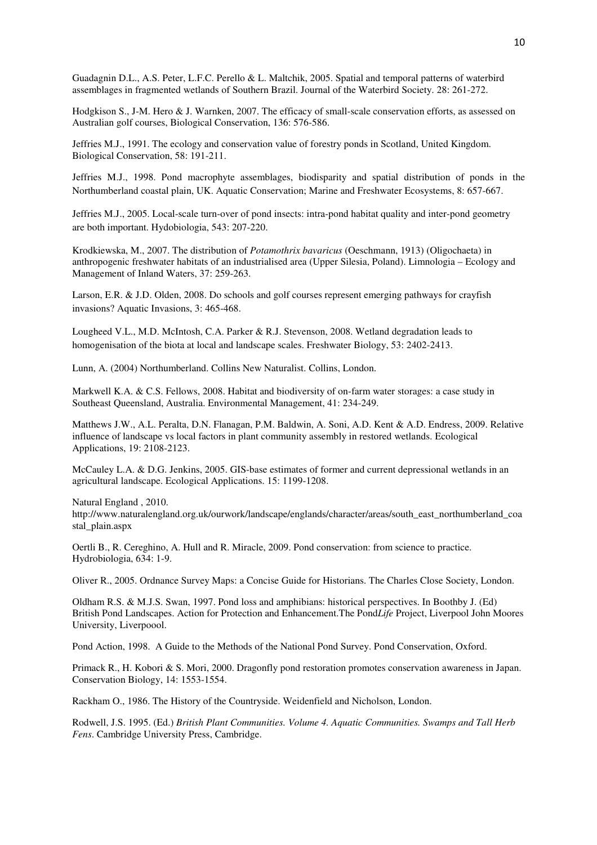Guadagnin D.L., A.S. Peter, L.F.C. Perello & L. Maltchik, 2005. Spatial and temporal patterns of waterbird assemblages in fragmented wetlands of Southern Brazil. Journal of the Waterbird Society. 28: 261-272.

Hodgkison S., J-M. Hero & J. Warnken, 2007. The efficacy of small-scale conservation efforts, as assessed on Australian golf courses, Biological Conservation, 136: 576-586.

Jeffries M.J., 1991. The ecology and conservation value of forestry ponds in Scotland, United Kingdom. Biological Conservation, 58: 191-211.

Jeffries M.J., 1998. Pond macrophyte assemblages, biodisparity and spatial distribution of ponds in the Northumberland coastal plain, UK. Aquatic Conservation; Marine and Freshwater Ecosystems, 8: 657-667.

Jeffries M.J., 2005. Local-scale turn-over of pond insects: intra-pond habitat quality and inter-pond geometry are both important. Hydobiologia, 543: 207-220.

Krodkiewska, M., 2007. The distribution of *Potamothrix bavaricus* (Oeschmann, 1913) (Oligochaeta) in anthropogenic freshwater habitats of an industrialised area (Upper Silesia, Poland). Limnologia – Ecology and Management of Inland Waters, 37: 259-263.

Larson, E.R. & J.D. Olden, 2008. Do schools and golf courses represent emerging pathways for crayfish invasions? Aquatic Invasions, 3: 465-468.

Lougheed V.L., M.D. McIntosh, C.A. Parker & R.J. Stevenson, 2008. Wetland degradation leads to homogenisation of the biota at local and landscape scales. Freshwater Biology, 53: 2402-2413.

Lunn, A. (2004) Northumberland. Collins New Naturalist. Collins, London.

Markwell K.A. & C.S. Fellows, 2008. Habitat and biodiversity of on-farm water storages: a case study in Southeast Queensland, Australia. Environmental Management, 41: 234-249.

Matthews J.W., A.L. Peralta, D.N. Flanagan, P.M. Baldwin, A. Soni, A.D. Kent & A.D. Endress, 2009. Relative influence of landscape vs local factors in plant community assembly in restored wetlands. Ecological Applications, 19: 2108-2123.

McCauley L.A. & D.G. Jenkins, 2005. GIS-base estimates of former and current depressional wetlands in an agricultural landscape. Ecological Applications. 15: 1199-1208.

Natural England , 2010.

http://www.naturalengland.org.uk/ourwork/landscape/englands/character/areas/south\_east\_northumberland\_coa stal\_plain.aspx

Oertli B., R. Cereghino, A. Hull and R. Miracle, 2009. Pond conservation: from science to practice. Hydrobiologia, 634: 1-9.

Oliver R., 2005. Ordnance Survey Maps: a Concise Guide for Historians. The Charles Close Society, London.

Oldham R.S. & M.J.S. Swan, 1997. Pond loss and amphibians: historical perspectives. In Boothby J. (Ed) British Pond Landscapes. Action for Protection and Enhancement.The Pond*Life* Project, Liverpool John Moores University, Liverpoool.

Pond Action, 1998. A Guide to the Methods of the National Pond Survey. Pond Conservation, Oxford.

Primack R., H. Kobori & S. Mori, 2000. Dragonfly pond restoration promotes conservation awareness in Japan. Conservation Biology, 14: 1553-1554.

Rackham O., 1986. The History of the Countryside. Weidenfield and Nicholson, London.

Rodwell, J.S. 1995. (Ed.) *British Plant Communities. Volume 4. Aquatic Communities. Swamps and Tall Herb Fens*. Cambridge University Press, Cambridge.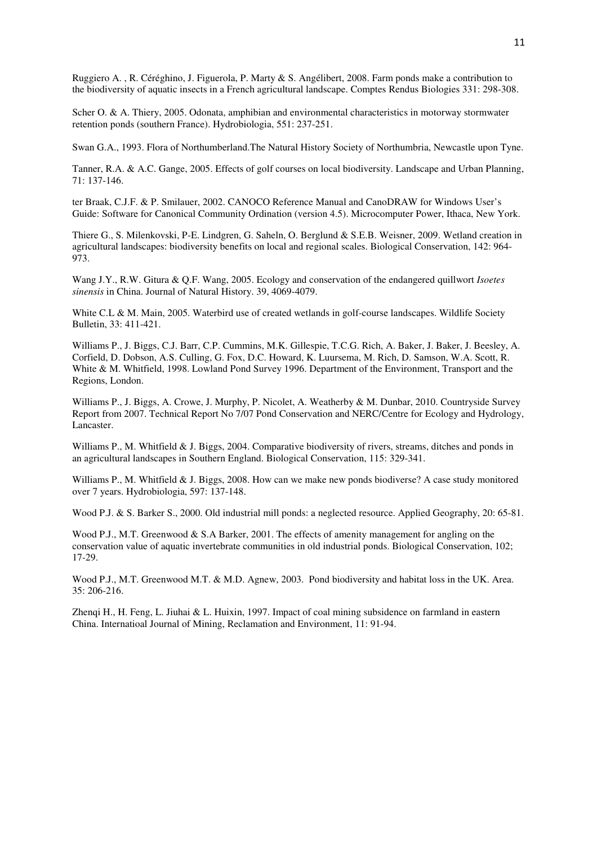Ruggiero A. , R. Céréghino, J. Figuerola, P. Marty & S. Angélibert, 2008. Farm ponds make a contribution to the biodiversity of aquatic insects in a French agricultural landscape. Comptes Rendus Biologies 331: 298-308.

Scher O. & A. Thiery, 2005. Odonata, amphibian and environmental characteristics in motorway stormwater retention ponds (southern France). Hydrobiologia, 551: 237-251.

Swan G.A., 1993. Flora of Northumberland.The Natural History Society of Northumbria, Newcastle upon Tyne.

Tanner, R.A. & A.C. Gange, 2005. Effects of golf courses on local biodiversity. Landscape and Urban Planning, 71: 137-146.

ter Braak, C.J.F. & P. Smilauer, 2002. CANOCO Reference Manual and CanoDRAW for Windows User's Guide: Software for Canonical Community Ordination (version 4.5). Microcomputer Power, Ithaca, New York.

Thiere G., S. Milenkovski, P-E. Lindgren, G. Saheln, O. Berglund & S.E.B. Weisner, 2009. Wetland creation in agricultural landscapes: biodiversity benefits on local and regional scales. Biological Conservation, 142: 964- 973.

Wang J.Y., R.W. Gitura & Q.F. Wang, 2005. Ecology and conservation of the endangered quillwort *Isoetes sinensis* in China. Journal of Natural History. 39, 4069-4079.

White C.L & M. Main, 2005. Waterbird use of created wetlands in golf-course landscapes. Wildlife Society Bulletin, 33: 411-421.

Williams P., J. Biggs, C.J. Barr, C.P. Cummins, M.K. Gillespie, T.C.G. Rich, A. Baker, J. Baker, J. Beesley, A. Corfield, D. Dobson, A.S. Culling, G. Fox, D.C. Howard, K. Luursema, M. Rich, D. Samson, W.A. Scott, R. White & M. Whitfield, 1998. Lowland Pond Survey 1996. Department of the Environment, Transport and the Regions, London.

Williams P., J. Biggs, A. Crowe, J. Murphy, P. Nicolet, A. Weatherby & M. Dunbar, 2010. Countryside Survey Report from 2007. Technical Report No 7/07 Pond Conservation and NERC/Centre for Ecology and Hydrology, Lancaster.

Williams P., M. Whitfield & J. Biggs, 2004. Comparative biodiversity of rivers, streams, ditches and ponds in an agricultural landscapes in Southern England. Biological Conservation, 115: 329-341.

Williams P., M. Whitfield & J. Biggs, 2008. How can we make new ponds biodiverse? A case study monitored over 7 years. Hydrobiologia, 597: 137-148.

Wood P.J. & S. Barker S., 2000. Old industrial mill ponds: a neglected resource. Applied Geography, 20: 65-81.

Wood P.J., M.T. Greenwood & S.A Barker, 2001. The effects of amenity management for angling on the conservation value of aquatic invertebrate communities in old industrial ponds. Biological Conservation, 102; 17-29.

Wood P.J., M.T. Greenwood M.T. & M.D. Agnew, 2003. Pond biodiversity and habitat loss in the UK. Area. 35: 206-216.

Zhenqi H., H. Feng, L. Jiuhai & L. Huixin, 1997. Impact of coal mining subsidence on farmland in eastern China. Internatioal Journal of Mining, Reclamation and Environment, 11: 91-94.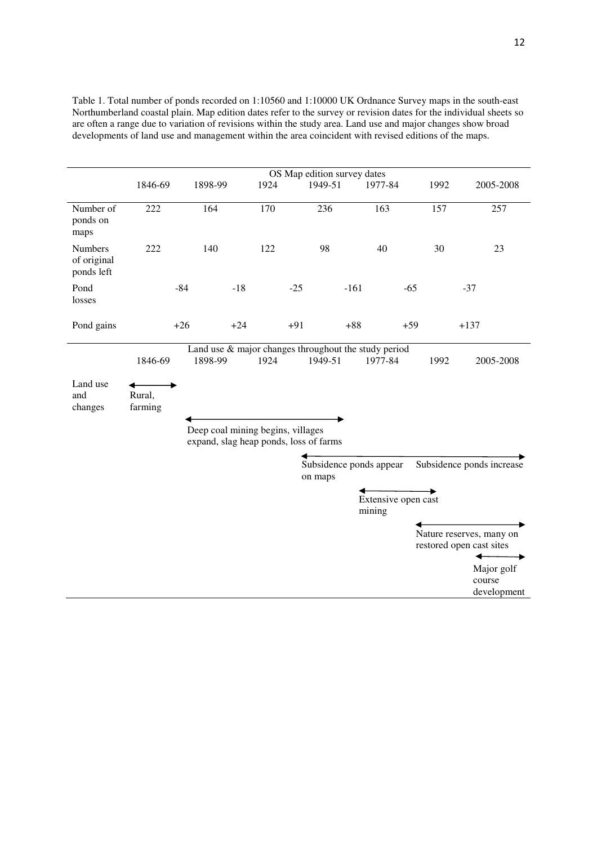|                                             | OS Map edition survey dates |                                                                             |      |         |                                                      |       |                  |                                     |
|---------------------------------------------|-----------------------------|-----------------------------------------------------------------------------|------|---------|------------------------------------------------------|-------|------------------|-------------------------------------|
|                                             | 1846-69                     | 1898-99                                                                     | 1924 | 1949-51 | 1977-84                                              |       | 1992             | 2005-2008                           |
| Number of<br>ponds on<br>maps               | 222                         | 164                                                                         | 170  | 236     | 163                                                  |       | $\overline{157}$ | 257                                 |
| <b>Numbers</b><br>of original<br>ponds left | 222                         | 140                                                                         | 122  | 98      | 40                                                   |       | 30               | 23                                  |
| Pond<br>losses                              | $-84$                       | $-18$                                                                       |      | $-25$   | $-161$                                               | $-65$ |                  | $-37$                               |
| Pond gains                                  | $+26$                       | $+24$                                                                       |      | $+91$   | $+88$                                                | $+59$ |                  | $+137$                              |
|                                             | 1846-69                     | Land use & major changes throughout the study period<br>1898-99             | 1924 | 1949-51 | 1977-84                                              |       | 1992             | 2005-2008                           |
| Land use<br>and<br>changes                  | Rural,<br>farming           | Deep coal mining begins, villages<br>expand, slag heap ponds, loss of farms |      |         |                                                      |       |                  |                                     |
|                                             |                             | Subsidence ponds appear<br>Subsidence ponds increase<br>on maps             |      |         |                                                      |       |                  |                                     |
|                                             |                             | Extensive open cast<br>mining                                               |      |         |                                                      |       |                  |                                     |
|                                             |                             |                                                                             |      |         | Nature reserves, many on<br>restored open cast sites |       |                  |                                     |
|                                             |                             |                                                                             |      |         |                                                      |       |                  | Major golf<br>course<br>development |

Table 1. Total number of ponds recorded on 1:10560 and 1:10000 UK Ordnance Survey maps in the south-east Northumberland coastal plain. Map edition dates refer to the survey or revision dates for the individual sheets so are often a range due to variation of revisions within the study area. Land use and major changes show broad developments of land use and management within the area coincident with revised editions of the maps.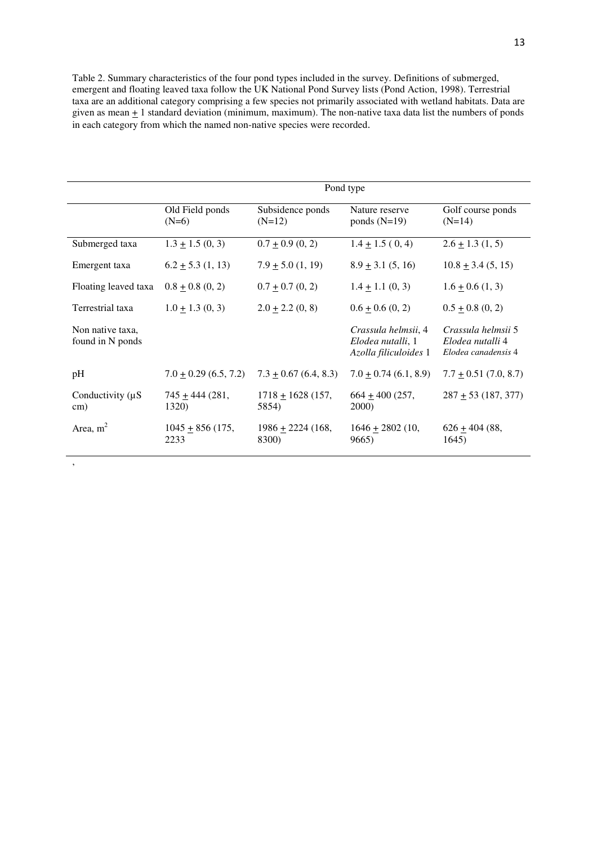Table 2. Summary characteristics of the four pond types included in the survey. Definitions of submerged, emergent and floating leaved taxa follow the UK National Pond Survey lists (Pond Action, 1998). Terrestrial taxa are an additional category comprising a few species not primarily associated with wetland habitats. Data are given as mean  $\pm 1$  standard deviation (minimum, maximum). The non-native taxa data list the numbers of ponds in each category from which the named non-native species were recorded.

|                                      | Pond type                    |                                |                                                                   |                                                               |  |
|--------------------------------------|------------------------------|--------------------------------|-------------------------------------------------------------------|---------------------------------------------------------------|--|
|                                      | Old Field ponds<br>$(N=6)$   | Subsidence ponds<br>$(N=12)$   | Nature reserve<br>ponds $(N=19)$                                  | Golf course ponds<br>$(N=14)$                                 |  |
| Submerged taxa                       | $1.3 \pm 1.5$ (0, 3)         | $0.7 \pm 0.9$ (0, 2)           | $1.4 \pm 1.5$ (0, 4)                                              | $2.6 \pm 1.3$ (1, 5)                                          |  |
| Emergent taxa                        | $6.2 + 5.3(1, 13)$           | $7.9 + 5.0(1, 19)$             | $8.9 + 3.1(5, 16)$                                                | $10.8 + 3.4(5, 15)$                                           |  |
| Floating leaved taxa                 | $0.8 + 0.8(0, 2)$            | $0.7 + 0.7(0, 2)$              | $1.4 + 1.1(0, 3)$                                                 | $1.6 + 0.6(1, 3)$                                             |  |
| Terrestrial taxa                     | $1.0 + 1.3(0, 3)$            | $2.0 + 2.2(0, 8)$              | $0.6 \pm 0.6$ (0, 2)                                              | $0.5 \pm 0.8$ (0, 2)                                          |  |
| Non native taxa,<br>found in N ponds |                              |                                | Crassula helmsii, 4<br>Elodea nutalli, 1<br>Azolla filiculoides 1 | Crassula helmsii 5<br>Elodea nutalli 4<br>Elodea canadensis 4 |  |
| pH                                   | $7.0 \pm 0.29$ (6.5, 7.2)    | $7.3 \pm 0.67$ (6.4, 8.3)      | $7.0 \pm 0.74$ (6.1, 8.9)                                         | $7.7 \pm 0.51$ (7.0, 8.7)                                     |  |
| Conductivity $(\mu S)$<br>cm)        | $745 \pm 444$ (281,<br>1320) | $1718 \pm 1628$ (157,<br>5854) | $664 \pm 400$ (257,<br><b>2000</b> )                              | $287 + 53(187, 377)$                                          |  |
| Area, $m2$                           | $1045 \pm 856$ (175,<br>2233 | $1986 \pm 2224$ (168,<br>8300) | $1646 \pm 2802$ (10,<br>9665)                                     | $626 \pm 404$ (88,<br>1645)                                   |  |

,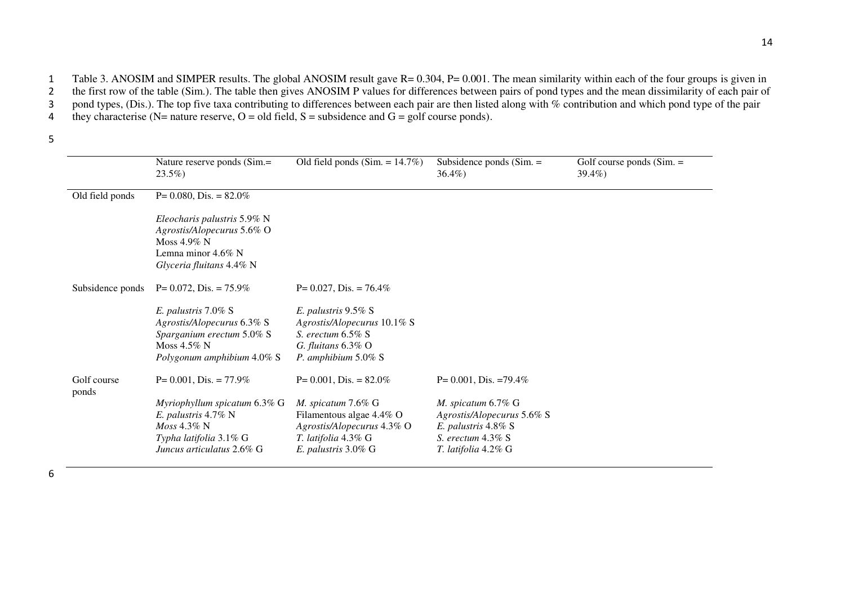1 Table 3. ANOSIM and SIMPER results. The global ANOSIM result gave R= 0.304, P= 0.001. The mean similarity within each of the four groups is given in

2 the first row of the table (Sim.). The table then gives ANOSIM P values for differences between pairs of pond types and the mean dissimilarity of each pair of 3 pond types, (Dis.). The top five taxa contributing to differences between each pair are then listed along with % contribution and which pond type of the pair

4 they characterise (N= nature reserve,  $O = old$  field, S = subsidence and  $G = golf$  course ponds).

5

|                      | Nature reserve ponds (Sim.=<br>$23.5\%$                                                                                        | Old field ponds (Sim. $= 14.7\%$ )                                                                                         | Subsidence ponds $(Sim. =$<br>$36.4\%$                                                                                    | Golf course ponds $(Sim. =$<br>$39.4\%$ |
|----------------------|--------------------------------------------------------------------------------------------------------------------------------|----------------------------------------------------------------------------------------------------------------------------|---------------------------------------------------------------------------------------------------------------------------|-----------------------------------------|
| Old field ponds      | $P = 0.080$ , Dis. = 82.0%                                                                                                     |                                                                                                                            |                                                                                                                           |                                         |
|                      | Eleocharis palustris 5.9% N<br>Agrostis/Alopecurus 5.6% O<br>Moss $4.9\%$ N<br>Lemna minor 4.6% N<br>Glyceria fluitans 4.4% N  |                                                                                                                            |                                                                                                                           |                                         |
| Subsidence ponds     | $P = 0.072$ , Dis. = 75.9%                                                                                                     | $P = 0.027$ , Dis. = 76.4%                                                                                                 |                                                                                                                           |                                         |
|                      | E. palustris 7.0% S<br>Agrostis/Alopecurus 6.3% S<br>Sparganium erectum 5.0% S<br>Moss $4.5\%$ N<br>Polygonum amphibium 4.0% S | E. palustris 9.5% S<br>Agrostis/Alopecurus 10.1% S<br>S. erectum $6.5\%$ S<br>G. fluitans $6.3\%$ O<br>P. amphibium 5.0% S |                                                                                                                           |                                         |
| Golf course<br>ponds | $P = 0.001$ , Dis. = 77.9%                                                                                                     | $P = 0.001$ , Dis. = 82.0%                                                                                                 | $P = 0.001$ , Dis. = 79.4%                                                                                                |                                         |
|                      | Myriophyllum spicatum 6.3% G<br>E. palustris 4.7% N<br>Moss 4.3% N<br>Typha latifolia 3.1% G<br>Juncus articulatus 2.6% G      | M. spicatum 7.6% G<br>Filamentous algae 4.4% O<br>Agrostis/Alopecurus 4.3% O<br>T. latifolia 4.3% G<br>E. palustris 3.0% G | M. spicatum $6.7\%$ G<br>Agrostis/Alopecurus 5.6% S<br>E. palustris 4.8% S<br>S. erectum $4.3\%$ S<br>T. latifolia 4.2% G |                                         |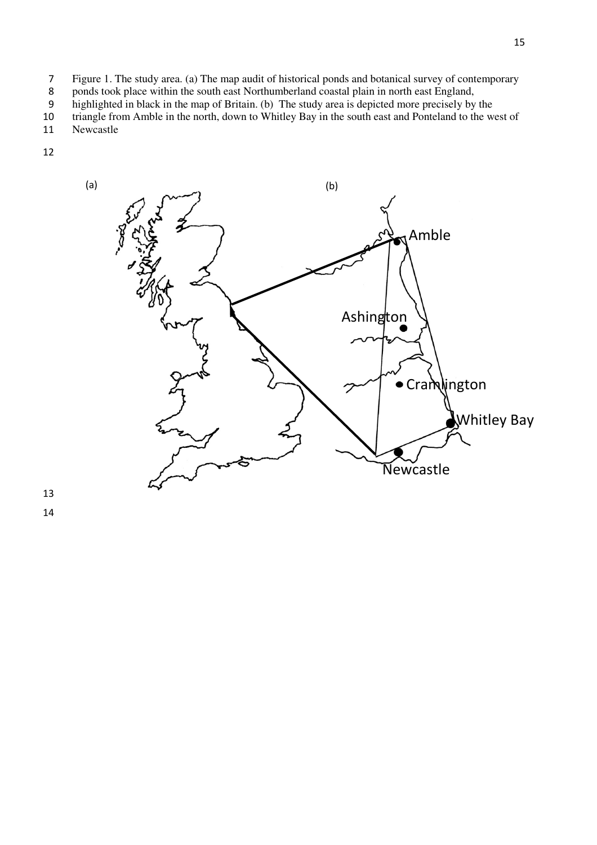- 8 ponds took place within the south east Northumberland coastal plain in north east England,
- 9 highlighted in black in the map of Britain. (b) The study area is depicted more precisely by the triangle from Amble in the north, down to Whitley Bay in the south east and Ponteland to the w
- triangle from Amble in the north, down to Whitley Bay in the south east and Ponteland to the west of 11 Newcastle
- 12



13 14